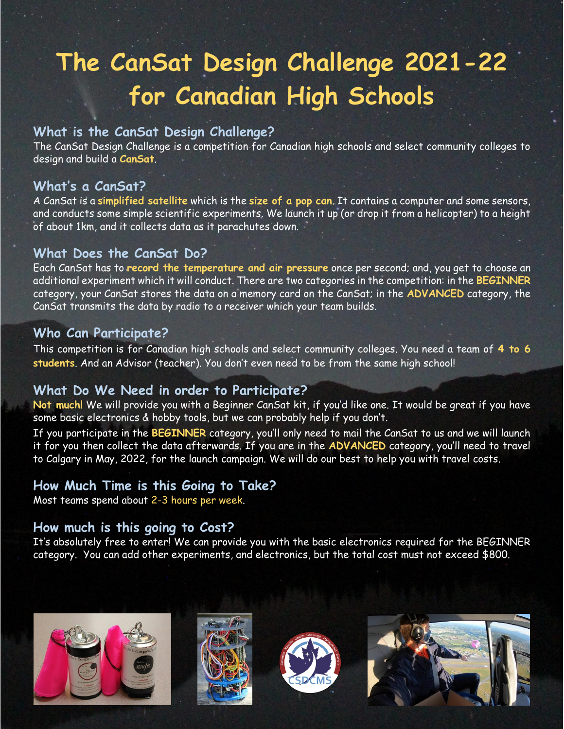# **The CanSat Design Challenge 2021-22 for Canadian High Schools**

## **What is the CanSat Design Challenge?**

The CanSat Design Challenge is a competition for Canadian high schools and select community colleges to design and build a **CanSat**.

#### **What's a CanSat?**

A CanSat is a **simplified satellite** which is the **size of a pop can**. It contains a computer and some sensors, and conducts some simple scientific experiments. We launch it up (or drop it from a helicopter) to a height of about 1km, and it collects data as it parachutes down.

## **What Does the CanSat Do?**

Each CanSat has to **record the temperature and air pressure** once per second; and, you get to choose an additional experiment which it will conduct. There are two categories in the competition: in the **BEGINNER** category, your CanSat stores the data on a memory card on the CanSat; in the **ADVANCED** category, the CanSat transmits the data by radio to a receiver which your team builds.

## **Who Can Participate?**

This competition is for Canadian high schools and select community colleges. You need a team of **4 to 6 students**. And an Advisor (teacher). You don't even need to be from the same high school!

#### **What Do We Need in order to Participate?**

**Not much!** We will provide you with a Beginner CanSat kit, if you'd like one. It would be great if you have some basic electronics & hobby tools, but we can probably help if you don't.

If you participate in the **BEGINNER** category, you'll only need to mail the CanSat to us and we will launch it for you then collect the data afterwards. If you are in the **ADVANCED** category, you'll need to travel to Calgary in May, 2022, for the launch campaign. We will do our best to help you with travel costs.

## **How Much Time is this Going to Take?**

Most teams spend about 2-3 hours per week.

## **How much is this going to Cost?**

It's absolutely free to enter! We can provide you with the basic electronics required for the BEGINNER category. You can add other experiments, and electronics, but the total cost must not exceed \$800.